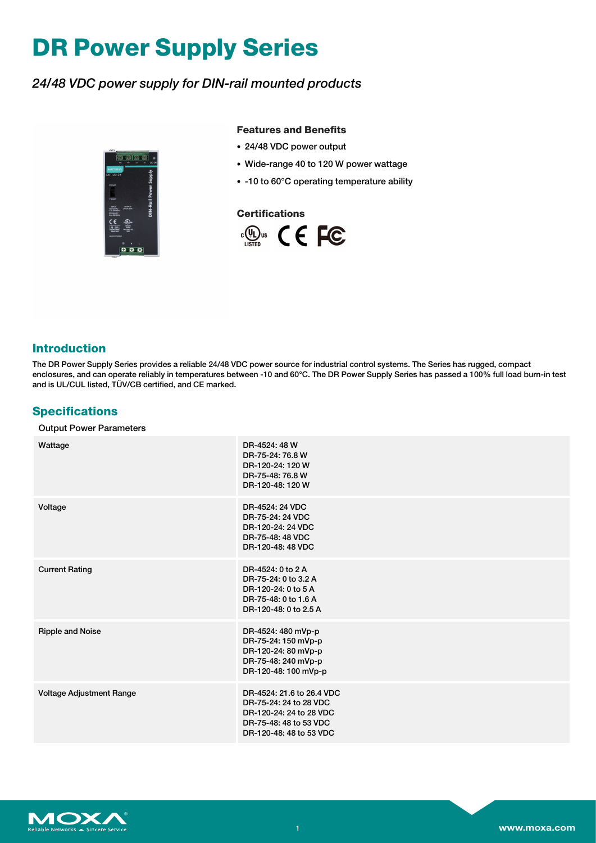# **DR Power Supply Series**

### *24/48 VDC power supply for DIN-rail mounted products*



#### **Features and Benefits**

- 24/48 VDC power output
- Wide-range 40 to 120 W power wattage
- -10 to 60°C operating temperature ability

#### **Certifications**



#### **Introduction**

The DR Power Supply Series provides a reliable 24/48 VDC power source for industrial control systems. The Series has rugged, compact enclosures, and can operate reliably in temperatures between -10 and 60°C. The DR Power Supply Series has passed a 100% full load burn-in test and is UL/CUL listed, TÜV/CB certified, and CE marked.

#### **Specifications**

#### Output Power Parameters

| Wattage                  | DR-4524: 48 W<br>DR-75-24: 76.8 W<br>DR-120-24: 120 W<br>DR-75-48: 76.8 W<br>DR-120-48: 120 W                                       |
|--------------------------|-------------------------------------------------------------------------------------------------------------------------------------|
| Voltage                  | DR-4524: 24 VDC<br>DR-75-24: 24 VDC<br>DR-120-24: 24 VDC<br>DR-75-48: 48 VDC<br>DR-120-48: 48 VDC                                   |
| <b>Current Rating</b>    | DR-4524: 0 to 2 A<br>DR-75-24: 0 to 3.2 A<br>DR-120-24: 0 to 5 A<br>DR-75-48: 0 to 1.6 A<br>DR-120-48: 0 to 2.5 A                   |
| <b>Ripple and Noise</b>  | DR-4524: 480 mVp-p<br>DR-75-24: 150 mVp-p<br>DR-120-24: 80 mVp-p<br>DR-75-48: 240 mVp-p<br>DR-120-48: 100 mVp-p                     |
| Voltage Adjustment Range | DR-4524: 21.6 to 26.4 VDC<br>DR-75-24: 24 to 28 VDC<br>DR-120-24: 24 to 28 VDC<br>DR-75-48: 48 to 53 VDC<br>DR-120-48: 48 to 53 VDC |

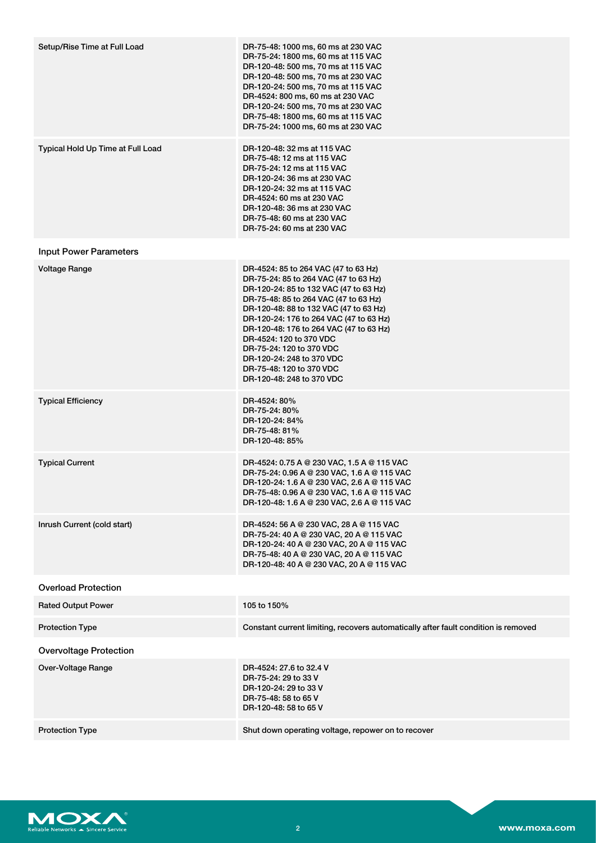| Setup/Rise Time at Full Load      | DR-75-48: 1000 ms, 60 ms at 230 VAC<br>DR-75-24: 1800 ms, 60 ms at 115 VAC<br>DR-120-48: 500 ms, 70 ms at 115 VAC<br>DR-120-48: 500 ms, 70 ms at 230 VAC<br>DR-120-24: 500 ms, 70 ms at 115 VAC<br>DR-4524: 800 ms, 60 ms at 230 VAC<br>DR-120-24: 500 ms, 70 ms at 230 VAC<br>DR-75-48: 1800 ms, 60 ms at 115 VAC<br>DR-75-24: 1000 ms, 60 ms at 230 VAC                                                                                     |
|-----------------------------------|-----------------------------------------------------------------------------------------------------------------------------------------------------------------------------------------------------------------------------------------------------------------------------------------------------------------------------------------------------------------------------------------------------------------------------------------------|
| Typical Hold Up Time at Full Load | DR-120-48: 32 ms at 115 VAC<br>DR-75-48: 12 ms at 115 VAC<br>DR-75-24: 12 ms at 115 VAC<br>DR-120-24: 36 ms at 230 VAC<br>DR-120-24: 32 ms at 115 VAC<br>DR-4524: 60 ms at 230 VAC<br>DR-120-48: 36 ms at 230 VAC<br>DR-75-48: 60 ms at 230 VAC<br>DR-75-24: 60 ms at 230 VAC                                                                                                                                                                 |
| <b>Input Power Parameters</b>     |                                                                                                                                                                                                                                                                                                                                                                                                                                               |
| Voltage Range                     | DR-4524: 85 to 264 VAC (47 to 63 Hz)<br>DR-75-24: 85 to 264 VAC (47 to 63 Hz)<br>DR-120-24: 85 to 132 VAC (47 to 63 Hz)<br>DR-75-48: 85 to 264 VAC (47 to 63 Hz)<br>DR-120-48: 88 to 132 VAC (47 to 63 Hz)<br>DR-120-24: 176 to 264 VAC (47 to 63 Hz)<br>DR-120-48: 176 to 264 VAC (47 to 63 Hz)<br>DR-4524: 120 to 370 VDC<br>DR-75-24: 120 to 370 VDC<br>DR-120-24: 248 to 370 VDC<br>DR-75-48: 120 to 370 VDC<br>DR-120-48: 248 to 370 VDC |
| <b>Typical Efficiency</b>         | DR-4524: 80%<br>DR-75-24: 80%<br>DR-120-24: 84%<br>DR-75-48: 81%<br>DR-120-48: 85%                                                                                                                                                                                                                                                                                                                                                            |
| <b>Typical Current</b>            | DR-4524: 0.75 A @ 230 VAC, 1.5 A @ 115 VAC<br>DR-75-24: 0.96 A @ 230 VAC, 1.6 A @ 115 VAC<br>DR-120-24: 1.6 A @ 230 VAC, 2.6 A @ 115 VAC<br>DR-75-48: 0.96 A @ 230 VAC, 1.6 A @ 115 VAC<br>DR-120-48: 1.6 A @ 230 VAC, 2.6 A @ 115 VAC                                                                                                                                                                                                        |
| Inrush Current (cold start)       | DR-4524: 56 A @ 230 VAC, 28 A @ 115 VAC<br>DR-75-24: 40 A @ 230 VAC, 20 A @ 115 VAC<br>DR-120-24: 40 A @ 230 VAC, 20 A @ 115 VAC<br>DR-75-48: 40 A @ 230 VAC, 20 A @ 115 VAC<br>DR-120-48: 40 A @ 230 VAC, 20 A @ 115 VAC                                                                                                                                                                                                                     |
| <b>Overload Protection</b>        |                                                                                                                                                                                                                                                                                                                                                                                                                                               |
| <b>Rated Output Power</b>         | 105 to 150%                                                                                                                                                                                                                                                                                                                                                                                                                                   |
| <b>Protection Type</b>            | Constant current limiting, recovers automatically after fault condition is removed                                                                                                                                                                                                                                                                                                                                                            |
| <b>Overvoltage Protection</b>     |                                                                                                                                                                                                                                                                                                                                                                                                                                               |
| Over-Voltage Range                | DR-4524: 27.6 to 32.4 V<br>DR-75-24: 29 to 33 V<br>DR-120-24: 29 to 33 V<br>DR-75-48: 58 to 65 V<br>DR-120-48: 58 to 65 V                                                                                                                                                                                                                                                                                                                     |
| <b>Protection Type</b>            | Shut down operating voltage, repower on to recover                                                                                                                                                                                                                                                                                                                                                                                            |